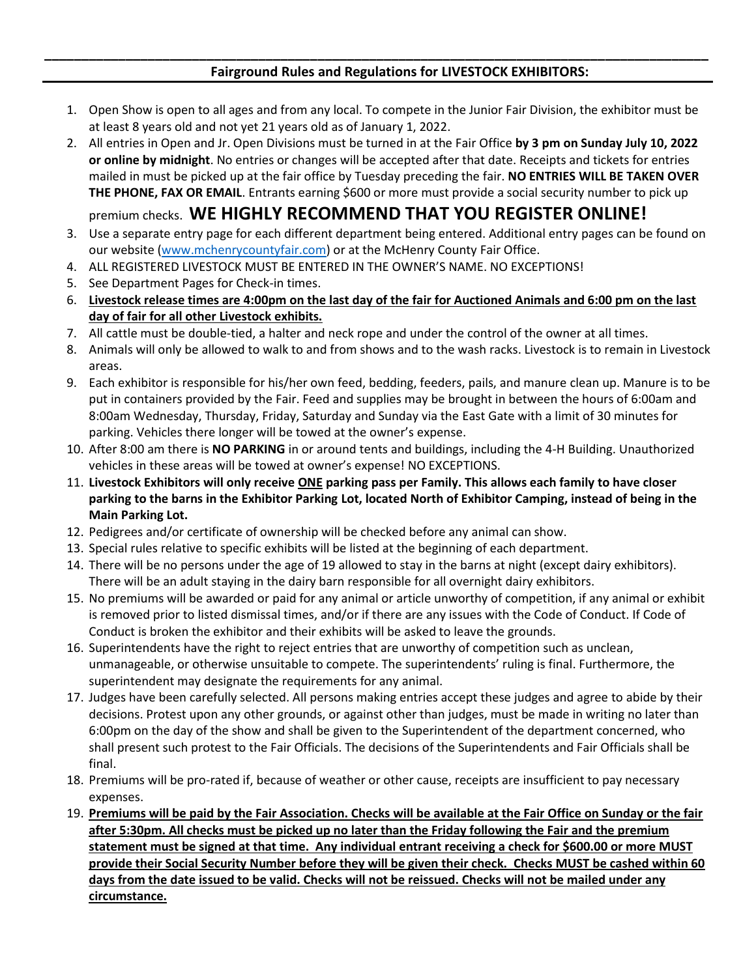## **Fairground Rules and Regulations for LIVESTOCK EXHIBITORS:**

1. Open Show is open to all ages and from any local. To compete in the Junior Fair Division, the exhibitor must be at least 8 years old and not yet 21 years old as of January 1, 2022.

**\_\_\_\_\_\_\_\_\_\_\_\_\_\_\_\_\_\_\_\_\_\_\_\_\_\_\_\_\_\_\_\_\_\_\_\_\_\_\_\_\_\_\_\_\_\_\_\_\_\_\_\_\_\_\_\_\_\_\_\_\_\_\_\_\_\_\_\_\_\_\_\_\_\_\_\_\_\_\_\_\_\_\_\_\_\_\_\_\_\_**

2. All entries in Open and Jr. Open Divisions must be turned in at the Fair Office **by 3 pm on Sunday July 10, 2022 or online by midnight**. No entries or changes will be accepted after that date. Receipts and tickets for entries mailed in must be picked up at the fair office by Tuesday preceding the fair. **NO ENTRIES WILL BE TAKEN OVER THE PHONE, FAX OR EMAIL**. Entrants earning \$600 or more must provide a social security number to pick up

premium checks. **WE HIGHLY RECOMMEND THAT YOU REGISTER ONLINE!**

- 3. Use a separate entry page for each different department being entered. Additional entry pages can be found on our website [\(www.mchenrycountyfair.com\)](http://www.mchenrycountyfair.com/) or at the McHenry County Fair Office.
- 4. ALL REGISTERED LIVESTOCK MUST BE ENTERED IN THE OWNER'S NAME. NO EXCEPTIONS!
- 5. See Department Pages for Check-in times.
- 6. **Livestock release times are 4:00pm on the last day of the fair for Auctioned Animals and 6:00 pm on the last day of fair for all other Livestock exhibits.**
- 7. All cattle must be double-tied, a halter and neck rope and under the control of the owner at all times.
- 8. Animals will only be allowed to walk to and from shows and to the wash racks. Livestock is to remain in Livestock areas.
- 9. Each exhibitor is responsible for his/her own feed, bedding, feeders, pails, and manure clean up. Manure is to be put in containers provided by the Fair. Feed and supplies may be brought in between the hours of 6:00am and 8:00am Wednesday, Thursday, Friday, Saturday and Sunday via the East Gate with a limit of 30 minutes for parking. Vehicles there longer will be towed at the owner's expense.
- 10. After 8:00 am there is **NO PARKING** in or around tents and buildings, including the 4-H Building. Unauthorized vehicles in these areas will be towed at owner's expense! NO EXCEPTIONS.
- 11. **Livestock Exhibitors will only receive ONE parking pass per Family. This allows each family to have closer parking to the barns in the Exhibitor Parking Lot, located North of Exhibitor Camping, instead of being in the Main Parking Lot.**
- 12. Pedigrees and/or certificate of ownership will be checked before any animal can show.
- 13. Special rules relative to specific exhibits will be listed at the beginning of each department.
- 14. There will be no persons under the age of 19 allowed to stay in the barns at night (except dairy exhibitors). There will be an adult staying in the dairy barn responsible for all overnight dairy exhibitors.
- 15. No premiums will be awarded or paid for any animal or article unworthy of competition, if any animal or exhibit is removed prior to listed dismissal times, and/or if there are any issues with the Code of Conduct. If Code of Conduct is broken the exhibitor and their exhibits will be asked to leave the grounds.
- 16. Superintendents have the right to reject entries that are unworthy of competition such as unclean, unmanageable, or otherwise unsuitable to compete. The superintendents' ruling is final. Furthermore, the superintendent may designate the requirements for any animal.
- 17. Judges have been carefully selected. All persons making entries accept these judges and agree to abide by their decisions. Protest upon any other grounds, or against other than judges, must be made in writing no later than 6:00pm on the day of the show and shall be given to the Superintendent of the department concerned, who shall present such protest to the Fair Officials. The decisions of the Superintendents and Fair Officials shall be final.
- 18. Premiums will be pro-rated if, because of weather or other cause, receipts are insufficient to pay necessary expenses.
- 19. **Premiums will be paid by the Fair Association. Checks will be available at the Fair Office on Sunday or the fair after 5:30pm. All checks must be picked up no later than the Friday following the Fair and the premium statement must be signed at that time. Any individual entrant receiving a check for \$600.00 or more MUST provide their Social Security Number before they will be given their check. Checks MUST be cashed within 60 days from the date issued to be valid. Checks will not be reissued. Checks will not be mailed under any circumstance.**